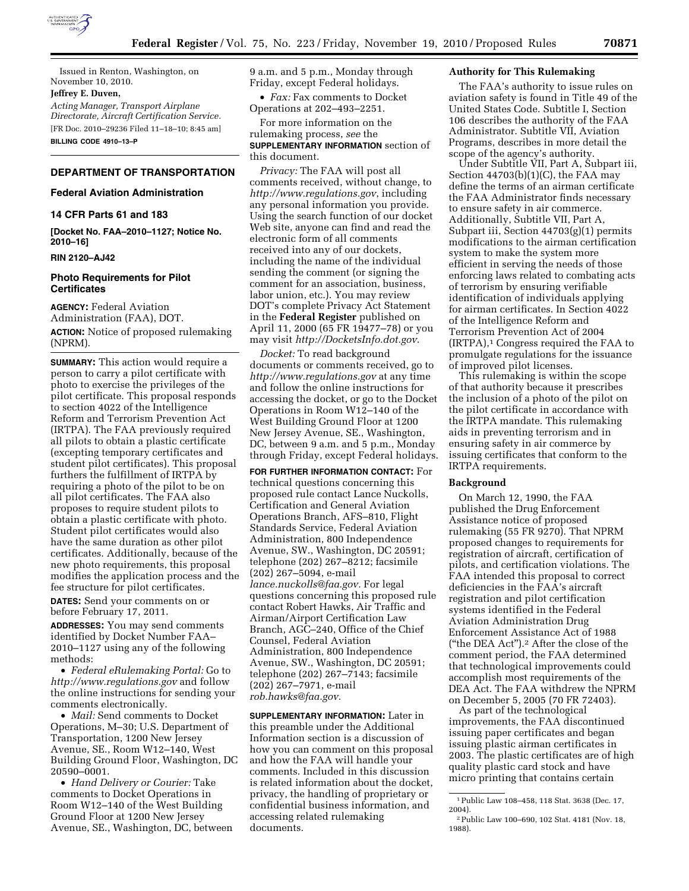

Issued in Renton, Washington, on November 10, 2010.

## **Jeffrey E. Duven,**

*Acting Manager, Transport Airplane Directorate, Aircraft Certification Service.*  [FR Doc. 2010–29236 Filed 11–18–10; 8:45 am]

**BILLING CODE 4910–13–P** 

# **DEPARTMENT OF TRANSPORTATION**

# **Federal Aviation Administration**

# **14 CFR Parts 61 and 183**

**[Docket No. FAA–2010–1127; Notice No. 2010–16]** 

## **RIN 2120–AJ42**

# **Photo Requirements for Pilot Certificates**

**AGENCY:** Federal Aviation Administration (FAA), DOT. **ACTION:** Notice of proposed rulemaking (NPRM).

**SUMMARY:** This action would require a person to carry a pilot certificate with photo to exercise the privileges of the pilot certificate. This proposal responds to section 4022 of the Intelligence Reform and Terrorism Prevention Act (IRTPA). The FAA previously required all pilots to obtain a plastic certificate (excepting temporary certificates and student pilot certificates). This proposal furthers the fulfillment of IRTPA by requiring a photo of the pilot to be on all pilot certificates. The FAA also proposes to require student pilots to obtain a plastic certificate with photo. Student pilot certificates would also have the same duration as other pilot certificates. Additionally, because of the new photo requirements, this proposal modifies the application process and the fee structure for pilot certificates.

**DATES:** Send your comments on or before February 17, 2011.

**ADDRESSES:** You may send comments identified by Docket Number FAA– 2010–1127 using any of the following methods:

• *Federal eRulemaking Portal:* Go to *<http://www.regulations.gov>* and follow the online instructions for sending your comments electronically.

• *Mail:* Send comments to Docket Operations, M–30; U.S. Department of Transportation, 1200 New Jersey Avenue, SE., Room W12–140, West Building Ground Floor, Washington, DC 20590–0001.

• *Hand Delivery or Courier:* Take comments to Docket Operations in Room W12–140 of the West Building Ground Floor at 1200 New Jersey Avenue, SE., Washington, DC, between 9 a.m. and 5 p.m., Monday through Friday, except Federal holidays.

• *Fax:* Fax comments to Docket Operations at 202–493–2251.

For more information on the rulemaking process, *see* the **SUPPLEMENTARY INFORMATION** section of this document.

*Privacy:* The FAA will post all comments received, without change, to *<http://www.regulations.gov>*, including any personal information you provide. Using the search function of our docket Web site, anyone can find and read the electronic form of all comments received into any of our dockets, including the name of the individual sending the comment (or signing the comment for an association, business, labor union, etc.). You may review DOT's complete Privacy Act Statement in the **Federal Register** published on April 11, 2000 (65 FR 19477–78) or you may visit *<http://DocketsInfo.dot.gov>*.

*Docket:* To read background documents or comments received, go to *<http://www.regulations.gov>* at any time and follow the online instructions for accessing the docket, or go to the Docket Operations in Room W12–140 of the West Building Ground Floor at 1200 New Jersey Avenue, SE., Washington, DC, between 9 a.m. and 5 p.m., Monday through Friday, except Federal holidays.

**FOR FURTHER INFORMATION CONTACT:** For technical questions concerning this proposed rule contact Lance Nuckolls, Certification and General Aviation Operations Branch, AFS–810, Flight Standards Service, Federal Aviation Administration, 800 Independence Avenue, SW., Washington, DC 20591; telephone (202) 267–8212; facsimile (202) 267–5094, e-mail *[lance.nuckolls@faa.gov.](mailto:lance.nuckolls@faa.gov)* For legal questions concerning this proposed rule contact Robert Hawks, Air Traffic and Airman/Airport Certification Law Branch, AGC–240, Office of the Chief Counsel, Federal Aviation Administration, 800 Independence Avenue, SW., Washington, DC 20591; telephone (202) 267–7143; facsimile (202) 267–7971, e-mail *[rob.hawks@faa.gov.](mailto:rob.hawks@faa.gov)* 

**SUPPLEMENTARY INFORMATION:** Later in this preamble under the Additional Information section is a discussion of how you can comment on this proposal and how the FAA will handle your comments. Included in this discussion is related information about the docket, privacy, the handling of proprietary or confidential business information, and accessing related rulemaking documents.

# **Authority for This Rulemaking**

The FAA's authority to issue rules on aviation safety is found in Title 49 of the United States Code. Subtitle I, Section 106 describes the authority of the FAA Administrator. Subtitle VII, Aviation Programs, describes in more detail the scope of the agency's authority.

Under Subtitle VII, Part A, Subpart iii, Section  $44703(b)(1)(C)$ , the FAA may define the terms of an airman certificate the FAA Administrator finds necessary to ensure safety in air commerce. Additionally, Subtitle VII, Part A, Subpart iii, Section 44703(g)(1) permits modifications to the airman certification system to make the system more efficient in serving the needs of those enforcing laws related to combating acts of terrorism by ensuring verifiable identification of individuals applying for airman certificates. In Section 4022 of the Intelligence Reform and Terrorism Prevention Act of 2004 (IRTPA),1 Congress required the FAA to promulgate regulations for the issuance of improved pilot licenses.

This rulemaking is within the scope of that authority because it prescribes the inclusion of a photo of the pilot on the pilot certificate in accordance with the IRTPA mandate. This rulemaking aids in preventing terrorism and in ensuring safety in air commerce by issuing certificates that conform to the IRTPA requirements.

### **Background**

On March 12, 1990, the FAA published the Drug Enforcement Assistance notice of proposed rulemaking (55 FR 9270). That NPRM proposed changes to requirements for registration of aircraft, certification of pilots, and certification violations. The FAA intended this proposal to correct deficiencies in the FAA's aircraft registration and pilot certification systems identified in the Federal Aviation Administration Drug Enforcement Assistance Act of 1988 (''the DEA Act'').2 After the close of the comment period, the FAA determined that technological improvements could accomplish most requirements of the DEA Act. The FAA withdrew the NPRM on December 5, 2005 (70 FR 72403).

As part of the technological improvements, the FAA discontinued issuing paper certificates and began issuing plastic airman certificates in 2003. The plastic certificates are of high quality plastic card stock and have micro printing that contains certain

<sup>1</sup>Public Law 108–458, 118 Stat. 3638 (Dec. 17, 2004).

<sup>2</sup>Public Law 100–690, 102 Stat. 4181 (Nov. 18, 1988).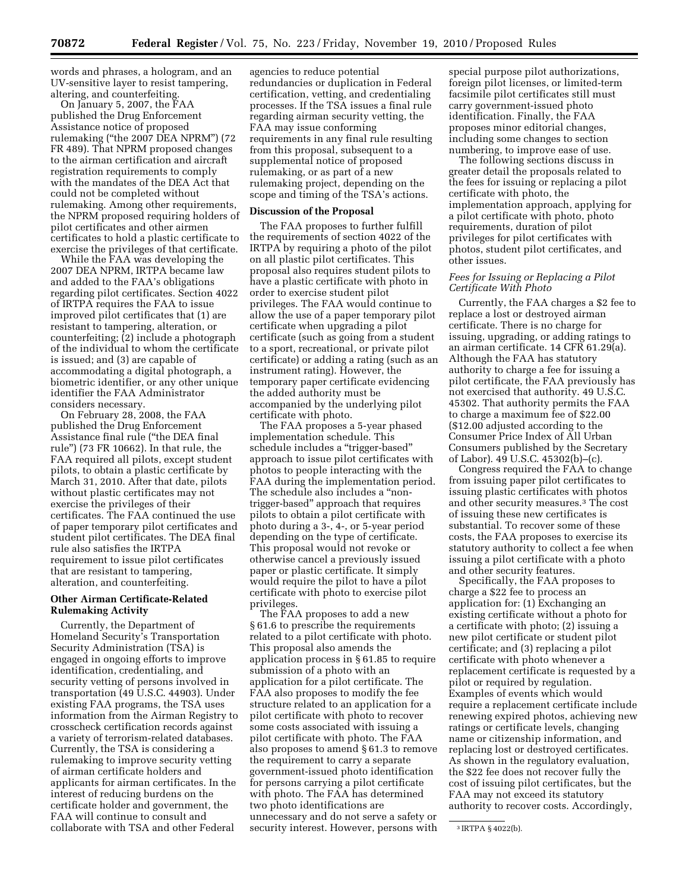words and phrases, a hologram, and an UV-sensitive layer to resist tampering, altering, and counterfeiting.

On January 5, 2007, the FAA published the Drug Enforcement Assistance notice of proposed rulemaking (''the 2007 DEA NPRM'') (72 FR 489). That NPRM proposed changes to the airman certification and aircraft registration requirements to comply with the mandates of the DEA Act that could not be completed without rulemaking. Among other requirements, the NPRM proposed requiring holders of pilot certificates and other airmen certificates to hold a plastic certificate to exercise the privileges of that certificate.

While the FAA was developing the 2007 DEA NPRM, IRTPA became law and added to the FAA's obligations regarding pilot certificates. Section 4022 of IRTPA requires the FAA to issue improved pilot certificates that (1) are resistant to tampering, alteration, or counterfeiting; (2) include a photograph of the individual to whom the certificate is issued; and (3) are capable of accommodating a digital photograph, a biometric identifier, or any other unique identifier the FAA Administrator considers necessary.

On February 28, 2008, the FAA published the Drug Enforcement Assistance final rule (''the DEA final rule'') (73 FR 10662). In that rule, the FAA required all pilots, except student pilots, to obtain a plastic certificate by March 31, 2010. After that date, pilots without plastic certificates may not exercise the privileges of their certificates. The FAA continued the use of paper temporary pilot certificates and student pilot certificates. The DEA final rule also satisfies the IRTPA requirement to issue pilot certificates that are resistant to tampering, alteration, and counterfeiting.

# **Other Airman Certificate-Related Rulemaking Activity**

Currently, the Department of Homeland Security's Transportation Security Administration (TSA) is engaged in ongoing efforts to improve identification, credentialing, and security vetting of persons involved in transportation (49 U.S.C. 44903). Under existing FAA programs, the TSA uses information from the Airman Registry to crosscheck certification records against a variety of terrorism-related databases. Currently, the TSA is considering a rulemaking to improve security vetting of airman certificate holders and applicants for airman certificates. In the interest of reducing burdens on the certificate holder and government, the FAA will continue to consult and collaborate with TSA and other Federal

agencies to reduce potential redundancies or duplication in Federal certification, vetting, and credentialing processes. If the TSA issues a final rule regarding airman security vetting, the FAA may issue conforming requirements in any final rule resulting from this proposal, subsequent to a supplemental notice of proposed rulemaking, or as part of a new rulemaking project, depending on the scope and timing of the TSA's actions.

## **Discussion of the Proposal**

The FAA proposes to further fulfill the requirements of section 4022 of the IRTPA by requiring a photo of the pilot on all plastic pilot certificates. This proposal also requires student pilots to have a plastic certificate with photo in order to exercise student pilot privileges. The FAA would continue to allow the use of a paper temporary pilot certificate when upgrading a pilot certificate (such as going from a student to a sport, recreational, or private pilot certificate) or adding a rating (such as an instrument rating). However, the temporary paper certificate evidencing the added authority must be accompanied by the underlying pilot certificate with photo.

The FAA proposes a 5-year phased implementation schedule. This schedule includes a ''trigger-based'' approach to issue pilot certificates with photos to people interacting with the FAA during the implementation period. The schedule also includes a ''nontrigger-based'' approach that requires pilots to obtain a pilot certificate with photo during a 3-, 4-, or 5-year period depending on the type of certificate. This proposal would not revoke or otherwise cancel a previously issued paper or plastic certificate. It simply would require the pilot to have a pilot certificate with photo to exercise pilot privileges.

The FAA proposes to add a new § 61.6 to prescribe the requirements related to a pilot certificate with photo. This proposal also amends the application process in § 61.85 to require submission of a photo with an application for a pilot certificate. The FAA also proposes to modify the fee structure related to an application for a pilot certificate with photo to recover some costs associated with issuing a pilot certificate with photo. The FAA also proposes to amend § 61.3 to remove the requirement to carry a separate government-issued photo identification for persons carrying a pilot certificate with photo. The FAA has determined two photo identifications are unnecessary and do not serve a safety or security interest. However, persons with

special purpose pilot authorizations, foreign pilot licenses, or limited-term facsimile pilot certificates still must carry government-issued photo identification. Finally, the FAA proposes minor editorial changes, including some changes to section numbering, to improve ease of use.

The following sections discuss in greater detail the proposals related to the fees for issuing or replacing a pilot certificate with photo, the implementation approach, applying for a pilot certificate with photo, photo requirements, duration of pilot privileges for pilot certificates with photos, student pilot certificates, and other issues.

# *Fees for Issuing or Replacing a Pilot Certificate With Photo*

Currently, the FAA charges a \$2 fee to replace a lost or destroyed airman certificate. There is no charge for issuing, upgrading, or adding ratings to an airman certificate. 14 CFR 61.29(a). Although the FAA has statutory authority to charge a fee for issuing a pilot certificate, the FAA previously has not exercised that authority. 49 U.S.C. 45302. That authority permits the FAA to charge a maximum fee of \$22.00 (\$12.00 adjusted according to the Consumer Price Index of All Urban Consumers published by the Secretary of Labor). 49 U.S.C. 45302(b)–(c).

Congress required the FAA to change from issuing paper pilot certificates to issuing plastic certificates with photos and other security measures.3 The cost of issuing these new certificates is substantial. To recover some of these costs, the FAA proposes to exercise its statutory authority to collect a fee when issuing a pilot certificate with a photo and other security features.

Specifically, the FAA proposes to charge a \$22 fee to process an application for: (1) Exchanging an existing certificate without a photo for a certificate with photo; (2) issuing a new pilot certificate or student pilot certificate; and (3) replacing a pilot certificate with photo whenever a replacement certificate is requested by a pilot or required by regulation. Examples of events which would require a replacement certificate include renewing expired photos, achieving new ratings or certificate levels, changing name or citizenship information, and replacing lost or destroyed certificates. As shown in the regulatory evaluation, the \$22 fee does not recover fully the cost of issuing pilot certificates, but the FAA may not exceed its statutory authority to recover costs. Accordingly,

<sup>3</sup> IRTPA § 4022(b).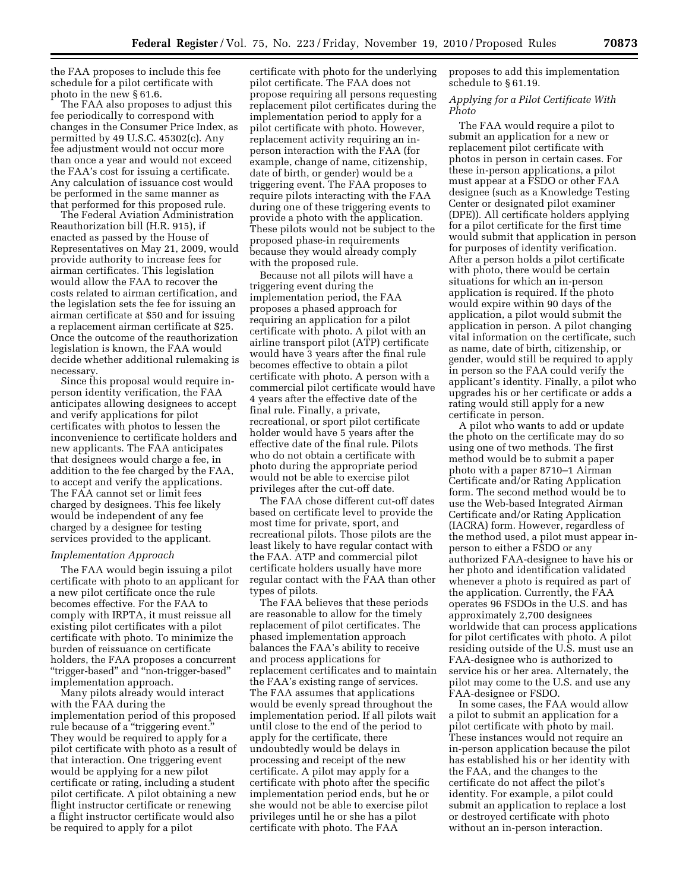the FAA proposes to include this fee schedule for a pilot certificate with photo in the new § 61.6.

The FAA also proposes to adjust this fee periodically to correspond with changes in the Consumer Price Index, as permitted by 49 U.S.C. 45302(c). Any fee adjustment would not occur more than once a year and would not exceed the FAA's cost for issuing a certificate. Any calculation of issuance cost would be performed in the same manner as that performed for this proposed rule.

The Federal Aviation Administration Reauthorization bill (H.R. 915), if enacted as passed by the House of Representatives on May 21, 2009, would provide authority to increase fees for airman certificates. This legislation would allow the FAA to recover the costs related to airman certification, and the legislation sets the fee for issuing an airman certificate at \$50 and for issuing a replacement airman certificate at \$25. Once the outcome of the reauthorization legislation is known, the FAA would decide whether additional rulemaking is necessary.

Since this proposal would require inperson identity verification, the FAA anticipates allowing designees to accept and verify applications for pilot certificates with photos to lessen the inconvenience to certificate holders and new applicants. The FAA anticipates that designees would charge a fee, in addition to the fee charged by the FAA, to accept and verify the applications. The FAA cannot set or limit fees charged by designees. This fee likely would be independent of any fee charged by a designee for testing services provided to the applicant.

### *Implementation Approach*

The FAA would begin issuing a pilot certificate with photo to an applicant for a new pilot certificate once the rule becomes effective. For the FAA to comply with IRPTA, it must reissue all existing pilot certificates with a pilot certificate with photo. To minimize the burden of reissuance on certificate holders, the FAA proposes a concurrent ''trigger-based'' and ''non-trigger-based'' implementation approach.

Many pilots already would interact with the FAA during the implementation period of this proposed rule because of a ''triggering event.'' They would be required to apply for a pilot certificate with photo as a result of that interaction. One triggering event would be applying for a new pilot certificate or rating, including a student pilot certificate. A pilot obtaining a new flight instructor certificate or renewing a flight instructor certificate would also be required to apply for a pilot

certificate with photo for the underlying pilot certificate. The FAA does not propose requiring all persons requesting replacement pilot certificates during the implementation period to apply for a pilot certificate with photo. However, replacement activity requiring an inperson interaction with the FAA (for example, change of name, citizenship, date of birth, or gender) would be a triggering event. The FAA proposes to require pilots interacting with the FAA during one of these triggering events to provide a photo with the application. These pilots would not be subject to the proposed phase-in requirements because they would already comply with the proposed rule.

Because not all pilots will have a triggering event during the implementation period, the FAA proposes a phased approach for requiring an application for a pilot certificate with photo. A pilot with an airline transport pilot (ATP) certificate would have 3 years after the final rule becomes effective to obtain a pilot certificate with photo. A person with a commercial pilot certificate would have 4 years after the effective date of the final rule. Finally, a private, recreational, or sport pilot certificate holder would have 5 years after the effective date of the final rule. Pilots who do not obtain a certificate with photo during the appropriate period would not be able to exercise pilot privileges after the cut-off date.

The FAA chose different cut-off dates based on certificate level to provide the most time for private, sport, and recreational pilots. Those pilots are the least likely to have regular contact with the FAA. ATP and commercial pilot certificate holders usually have more regular contact with the FAA than other types of pilots.

The FAA believes that these periods are reasonable to allow for the timely replacement of pilot certificates. The phased implementation approach balances the FAA's ability to receive and process applications for replacement certificates and to maintain the FAA's existing range of services. The FAA assumes that applications would be evenly spread throughout the implementation period. If all pilots wait until close to the end of the period to apply for the certificate, there undoubtedly would be delays in processing and receipt of the new certificate. A pilot may apply for a certificate with photo after the specific implementation period ends, but he or she would not be able to exercise pilot privileges until he or she has a pilot certificate with photo. The FAA

proposes to add this implementation schedule to § 61.19.

### *Applying for a Pilot Certificate With Photo*

The FAA would require a pilot to submit an application for a new or replacement pilot certificate with photos in person in certain cases. For these in-person applications, a pilot must appear at a FSDO or other FAA designee (such as a Knowledge Testing Center or designated pilot examiner (DPE)). All certificate holders applying for a pilot certificate for the first time would submit that application in person for purposes of identity verification. After a person holds a pilot certificate with photo, there would be certain situations for which an in-person application is required. If the photo would expire within 90 days of the application, a pilot would submit the application in person. A pilot changing vital information on the certificate, such as name, date of birth, citizenship, or gender, would still be required to apply in person so the FAA could verify the applicant's identity. Finally, a pilot who upgrades his or her certificate or adds a rating would still apply for a new certificate in person.

A pilot who wants to add or update the photo on the certificate may do so using one of two methods. The first method would be to submit a paper photo with a paper 8710–1 Airman Certificate and/or Rating Application form. The second method would be to use the Web-based Integrated Airman Certificate and/or Rating Application (IACRA) form. However, regardless of the method used, a pilot must appear inperson to either a FSDO or any authorized FAA-designee to have his or her photo and identification validated whenever a photo is required as part of the application. Currently, the FAA operates 96 FSDOs in the U.S. and has approximately 2,700 designees worldwide that can process applications for pilot certificates with photo. A pilot residing outside of the U.S. must use an FAA-designee who is authorized to service his or her area. Alternately, the pilot may come to the U.S. and use any FAA-designee or FSDO.

In some cases, the FAA would allow a pilot to submit an application for a pilot certificate with photo by mail. These instances would not require an in-person application because the pilot has established his or her identity with the FAA, and the changes to the certificate do not affect the pilot's identity. For example, a pilot could submit an application to replace a lost or destroyed certificate with photo without an in-person interaction.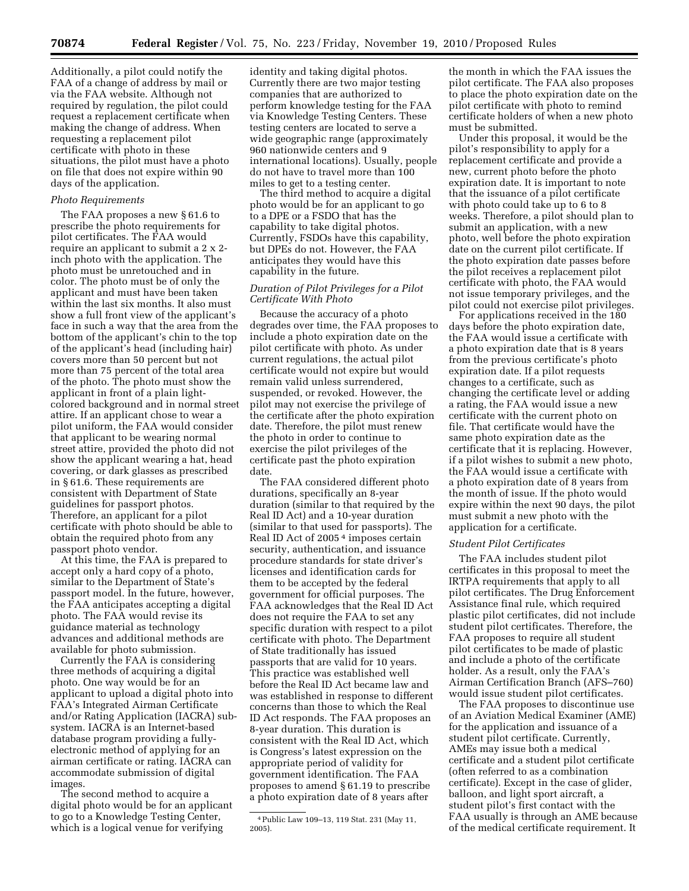Additionally, a pilot could notify the FAA of a change of address by mail or via the FAA website. Although not required by regulation, the pilot could request a replacement certificate when making the change of address. When requesting a replacement pilot certificate with photo in these situations, the pilot must have a photo on file that does not expire within 90 days of the application.

### *Photo Requirements*

The FAA proposes a new § 61.6 to prescribe the photo requirements for pilot certificates. The FAA would require an applicant to submit a 2 x 2 inch photo with the application. The photo must be unretouched and in color. The photo must be of only the applicant and must have been taken within the last six months. It also must show a full front view of the applicant's face in such a way that the area from the bottom of the applicant's chin to the top of the applicant's head (including hair) covers more than 50 percent but not more than 75 percent of the total area of the photo. The photo must show the applicant in front of a plain lightcolored background and in normal street attire. If an applicant chose to wear a pilot uniform, the FAA would consider that applicant to be wearing normal street attire, provided the photo did not show the applicant wearing a hat, head covering, or dark glasses as prescribed in § 61.6. These requirements are consistent with Department of State guidelines for passport photos. Therefore, an applicant for a pilot certificate with photo should be able to obtain the required photo from any passport photo vendor.

At this time, the FAA is prepared to accept only a hard copy of a photo, similar to the Department of State's passport model. In the future, however, the FAA anticipates accepting a digital photo. The FAA would revise its guidance material as technology advances and additional methods are available for photo submission.

Currently the FAA is considering three methods of acquiring a digital photo. One way would be for an applicant to upload a digital photo into FAA's Integrated Airman Certificate and/or Rating Application (IACRA) subsystem. IACRA is an Internet-based database program providing a fullyelectronic method of applying for an airman certificate or rating. IACRA can accommodate submission of digital images.

The second method to acquire a digital photo would be for an applicant to go to a Knowledge Testing Center, which is a logical venue for verifying

identity and taking digital photos. Currently there are two major testing companies that are authorized to perform knowledge testing for the FAA via Knowledge Testing Centers. These testing centers are located to serve a wide geographic range (approximately 960 nationwide centers and 9 international locations). Usually, people do not have to travel more than 100 miles to get to a testing center.

The third method to acquire a digital photo would be for an applicant to go to a DPE or a FSDO that has the capability to take digital photos. Currently, FSDOs have this capability, but DPEs do not. However, the FAA anticipates they would have this capability in the future.

# *Duration of Pilot Privileges for a Pilot Certificate With Photo*

Because the accuracy of a photo degrades over time, the FAA proposes to include a photo expiration date on the pilot certificate with photo. As under current regulations, the actual pilot certificate would not expire but would remain valid unless surrendered, suspended, or revoked. However, the pilot may not exercise the privilege of the certificate after the photo expiration date. Therefore, the pilot must renew the photo in order to continue to exercise the pilot privileges of the certificate past the photo expiration date.

The FAA considered different photo durations, specifically an 8-year duration (similar to that required by the Real ID Act) and a 10-year duration (similar to that used for passports). The Real ID Act of 2005 4 imposes certain security, authentication, and issuance procedure standards for state driver's licenses and identification cards for them to be accepted by the federal government for official purposes. The FAA acknowledges that the Real ID Act does not require the FAA to set any specific duration with respect to a pilot certificate with photo. The Department of State traditionally has issued passports that are valid for 10 years. This practice was established well before the Real ID Act became law and was established in response to different concerns than those to which the Real ID Act responds. The FAA proposes an 8-year duration. This duration is consistent with the Real ID Act, which is Congress's latest expression on the appropriate period of validity for government identification. The FAA proposes to amend § 61.19 to prescribe a photo expiration date of 8 years after

the month in which the FAA issues the pilot certificate. The FAA also proposes to place the photo expiration date on the pilot certificate with photo to remind certificate holders of when a new photo must be submitted.

Under this proposal, it would be the pilot's responsibility to apply for a replacement certificate and provide a new, current photo before the photo expiration date. It is important to note that the issuance of a pilot certificate with photo could take up to 6 to 8 weeks. Therefore, a pilot should plan to submit an application, with a new photo, well before the photo expiration date on the current pilot certificate. If the photo expiration date passes before the pilot receives a replacement pilot certificate with photo, the FAA would not issue temporary privileges, and the pilot could not exercise pilot privileges.

For applications received in the 180 days before the photo expiration date, the FAA would issue a certificate with a photo expiration date that is 8 years from the previous certificate's photo expiration date. If a pilot requests changes to a certificate, such as changing the certificate level or adding a rating, the FAA would issue a new certificate with the current photo on file. That certificate would have the same photo expiration date as the certificate that it is replacing. However, if a pilot wishes to submit a new photo, the FAA would issue a certificate with a photo expiration date of 8 years from the month of issue. If the photo would expire within the next 90 days, the pilot must submit a new photo with the application for a certificate.

### *Student Pilot Certificates*

The FAA includes student pilot certificates in this proposal to meet the IRTPA requirements that apply to all pilot certificates. The Drug Enforcement Assistance final rule, which required plastic pilot certificates, did not include student pilot certificates. Therefore, the FAA proposes to require all student pilot certificates to be made of plastic and include a photo of the certificate holder. As a result, only the FAA's Airman Certification Branch (AFS–760) would issue student pilot certificates.

The FAA proposes to discontinue use of an Aviation Medical Examiner (AME) for the application and issuance of a student pilot certificate. Currently, AMEs may issue both a medical certificate and a student pilot certificate (often referred to as a combination certificate). Except in the case of glider, balloon, and light sport aircraft, a student pilot's first contact with the FAA usually is through an AME because of the medical certificate requirement. It

<sup>4</sup>Public Law 109–13, 119 Stat. 231 (May 11, 2005).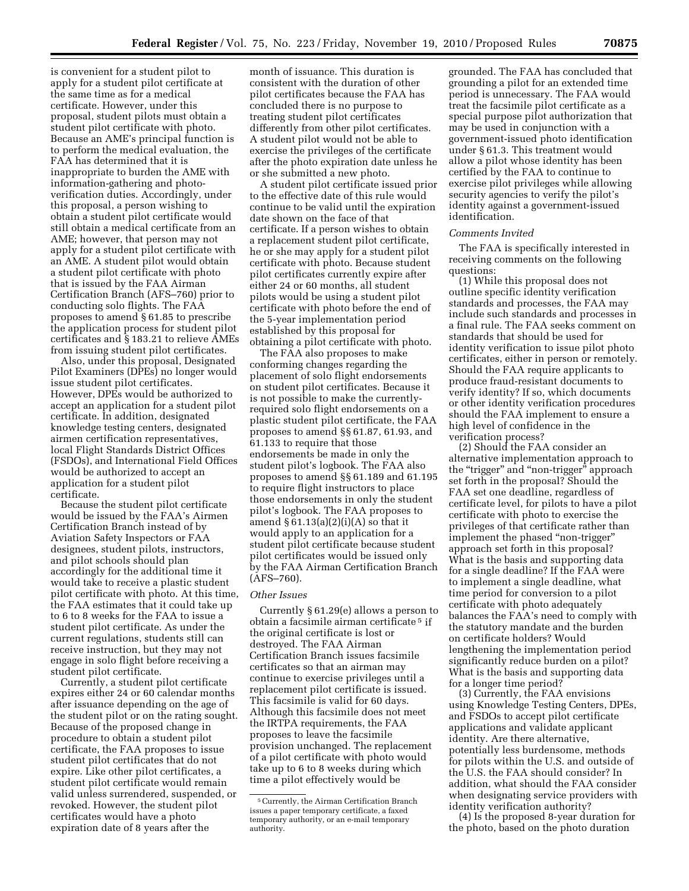is convenient for a student pilot to apply for a student pilot certificate at the same time as for a medical certificate. However, under this proposal, student pilots must obtain a student pilot certificate with photo. Because an AME's principal function is to perform the medical evaluation, the FAA has determined that it is inappropriate to burden the AME with information-gathering and photoverification duties. Accordingly, under this proposal, a person wishing to obtain a student pilot certificate would still obtain a medical certificate from an AME; however, that person may not apply for a student pilot certificate with an AME. A student pilot would obtain a student pilot certificate with photo that is issued by the FAA Airman Certification Branch (AFS–760) prior to conducting solo flights. The FAA proposes to amend § 61.85 to prescribe the application process for student pilot certificates and § 183.21 to relieve AMEs from issuing student pilot certificates.

Also, under this proposal, Designated Pilot Examiners (DPEs) no longer would issue student pilot certificates. However, DPEs would be authorized to accept an application for a student pilot certificate. In addition, designated knowledge testing centers, designated airmen certification representatives, local Flight Standards District Offices (FSDOs), and International Field Offices would be authorized to accept an application for a student pilot certificate.

Because the student pilot certificate would be issued by the FAA's Airmen Certification Branch instead of by Aviation Safety Inspectors or FAA designees, student pilots, instructors, and pilot schools should plan accordingly for the additional time it would take to receive a plastic student pilot certificate with photo. At this time, the FAA estimates that it could take up to 6 to 8 weeks for the FAA to issue a student pilot certificate. As under the current regulations, students still can receive instruction, but they may not engage in solo flight before receiving a student pilot certificate.

Currently, a student pilot certificate expires either 24 or 60 calendar months after issuance depending on the age of the student pilot or on the rating sought. Because of the proposed change in procedure to obtain a student pilot certificate, the FAA proposes to issue student pilot certificates that do not expire. Like other pilot certificates, a student pilot certificate would remain valid unless surrendered, suspended, or revoked. However, the student pilot certificates would have a photo expiration date of 8 years after the

month of issuance. This duration is consistent with the duration of other pilot certificates because the FAA has concluded there is no purpose to treating student pilot certificates differently from other pilot certificates. A student pilot would not be able to exercise the privileges of the certificate after the photo expiration date unless he or she submitted a new photo.

A student pilot certificate issued prior to the effective date of this rule would continue to be valid until the expiration date shown on the face of that certificate. If a person wishes to obtain a replacement student pilot certificate, he or she may apply for a student pilot certificate with photo. Because student pilot certificates currently expire after either 24 or 60 months, all student pilots would be using a student pilot certificate with photo before the end of the 5-year implementation period established by this proposal for obtaining a pilot certificate with photo.

The FAA also proposes to make conforming changes regarding the placement of solo flight endorsements on student pilot certificates. Because it is not possible to make the currentlyrequired solo flight endorsements on a plastic student pilot certificate, the FAA proposes to amend §§ 61.87, 61.93, and 61.133 to require that those endorsements be made in only the student pilot's logbook. The FAA also proposes to amend §§ 61.189 and 61.195 to require flight instructors to place those endorsements in only the student pilot's logbook. The FAA proposes to amend  $\S 61.13(a)(2)(i)(A)$  so that it would apply to an application for a student pilot certificate because student pilot certificates would be issued only by the FAA Airman Certification Branch (AFS–760).

### *Other Issues*

Currently § 61.29(e) allows a person to obtain a facsimile airman certificate 5 if the original certificate is lost or destroyed. The FAA Airman Certification Branch issues facsimile certificates so that an airman may continue to exercise privileges until a replacement pilot certificate is issued. This facsimile is valid for 60 days. Although this facsimile does not meet the IRTPA requirements, the FAA proposes to leave the facsimile provision unchanged. The replacement of a pilot certificate with photo would take up to 6 to 8 weeks during which time a pilot effectively would be

grounded. The FAA has concluded that grounding a pilot for an extended time period is unnecessary. The FAA would treat the facsimile pilot certificate as a special purpose pilot authorization that may be used in conjunction with a government-issued photo identification under § 61.3. This treatment would allow a pilot whose identity has been certified by the FAA to continue to exercise pilot privileges while allowing security agencies to verify the pilot's identity against a government-issued identification.

### *Comments Invited*

The FAA is specifically interested in receiving comments on the following questions:

(1) While this proposal does not outline specific identity verification standards and processes, the FAA may include such standards and processes in a final rule. The FAA seeks comment on standards that should be used for identity verification to issue pilot photo certificates, either in person or remotely. Should the FAA require applicants to produce fraud-resistant documents to verify identity? If so, which documents or other identity verification procedures should the FAA implement to ensure a high level of confidence in the verification process?

(2) Should the FAA consider an alternative implementation approach to the "trigger" and "non-trigger" approach set forth in the proposal? Should the FAA set one deadline, regardless of certificate level, for pilots to have a pilot certificate with photo to exercise the privileges of that certificate rather than implement the phased "non-trigger" approach set forth in this proposal? What is the basis and supporting data for a single deadline? If the FAA were to implement a single deadline, what time period for conversion to a pilot certificate with photo adequately balances the FAA's need to comply with the statutory mandate and the burden on certificate holders? Would lengthening the implementation period significantly reduce burden on a pilot? What is the basis and supporting data for a longer time period?

(3) Currently, the FAA envisions using Knowledge Testing Centers, DPEs, and FSDOs to accept pilot certificate applications and validate applicant identity. Are there alternative, potentially less burdensome, methods for pilots within the U.S. and outside of the U.S. the FAA should consider? In addition, what should the FAA consider when designating service providers with identity verification authority?

(4) Is the proposed 8-year duration for the photo, based on the photo duration

<sup>5</sup>Currently, the Airman Certification Branch issues a paper temporary certificate, a faxed temporary authority, or an e-mail temporary authority.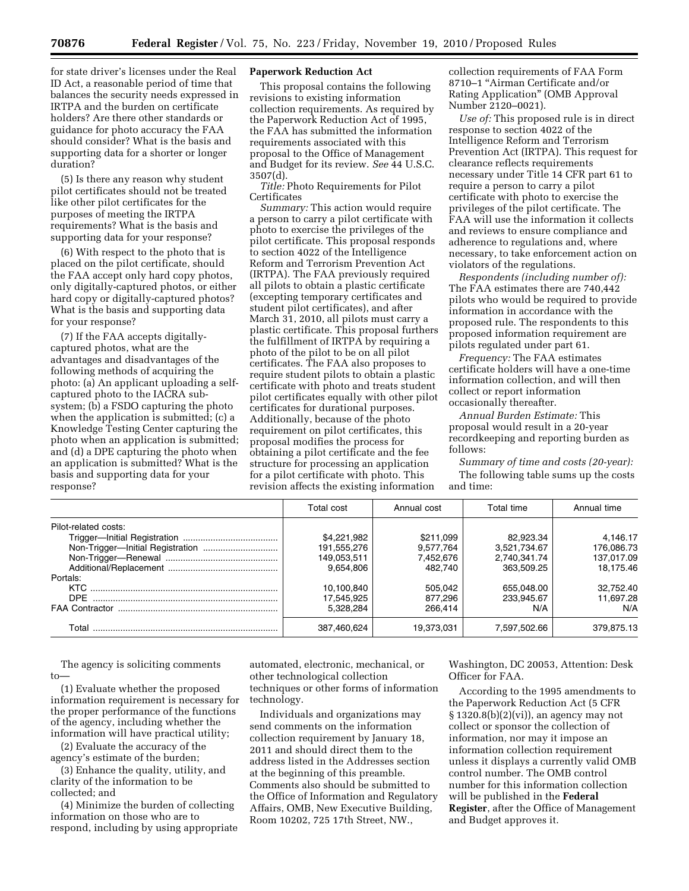for state driver's licenses under the Real ID Act, a reasonable period of time that balances the security needs expressed in IRTPA and the burden on certificate holders? Are there other standards or guidance for photo accuracy the FAA should consider? What is the basis and supporting data for a shorter or longer duration?

(5) Is there any reason why student pilot certificates should not be treated like other pilot certificates for the purposes of meeting the IRTPA requirements? What is the basis and supporting data for your response?

(6) With respect to the photo that is placed on the pilot certificate, should the FAA accept only hard copy photos, only digitally-captured photos, or either hard copy or digitally-captured photos? What is the basis and supporting data for your response?

(7) If the FAA accepts digitallycaptured photos, what are the advantages and disadvantages of the following methods of acquiring the photo: (a) An applicant uploading a selfcaptured photo to the IACRA subsystem; (b) a FSDO capturing the photo when the application is submitted; (c) a Knowledge Testing Center capturing the photo when an application is submitted; and (d) a DPE capturing the photo when an application is submitted? What is the basis and supporting data for your response?

### **Paperwork Reduction Act**

This proposal contains the following revisions to existing information collection requirements. As required by the Paperwork Reduction Act of 1995, the FAA has submitted the information requirements associated with this proposal to the Office of Management and Budget for its review. *See* 44 U.S.C. 3507(d).

*Title:* Photo Requirements for Pilot Certificates

*Summary:* This action would require a person to carry a pilot certificate with photo to exercise the privileges of the pilot certificate. This proposal responds to section 4022 of the Intelligence Reform and Terrorism Prevention Act (IRTPA). The FAA previously required all pilots to obtain a plastic certificate (excepting temporary certificates and student pilot certificates), and after March 31, 2010, all pilots must carry a plastic certificate. This proposal furthers the fulfillment of IRTPA by requiring a photo of the pilot to be on all pilot certificates. The FAA also proposes to require student pilots to obtain a plastic certificate with photo and treats student pilot certificates equally with other pilot certificates for durational purposes. Additionally, because of the photo requirement on pilot certificates, this proposal modifies the process for obtaining a pilot certificate and the fee structure for processing an application for a pilot certificate with photo. This revision affects the existing information

collection requirements of FAA Form 8710–1 ''Airman Certificate and/or Rating Application'' (OMB Approval Number 2120–0021).

*Use of:* This proposed rule is in direct response to section 4022 of the Intelligence Reform and Terrorism Prevention Act (IRTPA). This request for clearance reflects requirements necessary under Title 14 CFR part 61 to require a person to carry a pilot certificate with photo to exercise the privileges of the pilot certificate. The FAA will use the information it collects and reviews to ensure compliance and adherence to regulations and, where necessary, to take enforcement action on violators of the regulations.

*Respondents (including number of):*  The FAA estimates there are 740,442 pilots who would be required to provide information in accordance with the proposed rule. The respondents to this proposed information requirement are pilots regulated under part 61.

*Frequency:* The FAA estimates certificate holders will have a one-time information collection, and will then collect or report information occasionally thereafter.

*Annual Burden Estimate:* This proposal would result in a 20-year recordkeeping and reporting burden as follows:

*Summary of time and costs (20-year):*  The following table sums up the costs and time:

|                      | Total cost  | Annual cost | Total time   | Annual time |
|----------------------|-------------|-------------|--------------|-------------|
| Pilot-related costs: |             |             |              |             |
|                      | \$4,221,982 | \$211,099   | 82.923.34    | 4.146.17    |
|                      | 191,555,276 | 9.577.764   | 3,521,734.67 | 176,086.73  |
|                      | 149,053,511 | 7,452,676   | 2.740.341.74 | 137.017.09  |
|                      | 9,654,806   | 482.740     | 363.509.25   | 18.175.46   |
| Portals:             |             |             |              |             |
|                      | 10,100,840  | 505.042     | 655.048.00   | 32.752.40   |
|                      | 17,545,925  | 877,296     | 233.945.67   | 11.697.28   |
|                      | 5.328.284   | 266.414     | N/A          | N/A         |
| Total                | 387,460,624 | 19.373.031  | 7,597,502.66 | 379,875.13  |

The agency is soliciting comments to—

(1) Evaluate whether the proposed information requirement is necessary for the proper performance of the functions of the agency, including whether the information will have practical utility;

(2) Evaluate the accuracy of the agency's estimate of the burden;

(3) Enhance the quality, utility, and clarity of the information to be collected; and

(4) Minimize the burden of collecting information on those who are to respond, including by using appropriate

automated, electronic, mechanical, or other technological collection techniques or other forms of information technology.

Individuals and organizations may send comments on the information collection requirement by January 18, 2011 and should direct them to the address listed in the Addresses section at the beginning of this preamble. Comments also should be submitted to the Office of Information and Regulatory Affairs, OMB, New Executive Building, Room 10202, 725 17th Street, NW.,

Washington, DC 20053, Attention: Desk Officer for FAA.

According to the 1995 amendments to the Paperwork Reduction Act (5 CFR § 1320.8(b)(2)(vi)), an agency may not collect or sponsor the collection of information, nor may it impose an information collection requirement unless it displays a currently valid OMB control number. The OMB control number for this information collection will be published in the **Federal Register**, after the Office of Management and Budget approves it.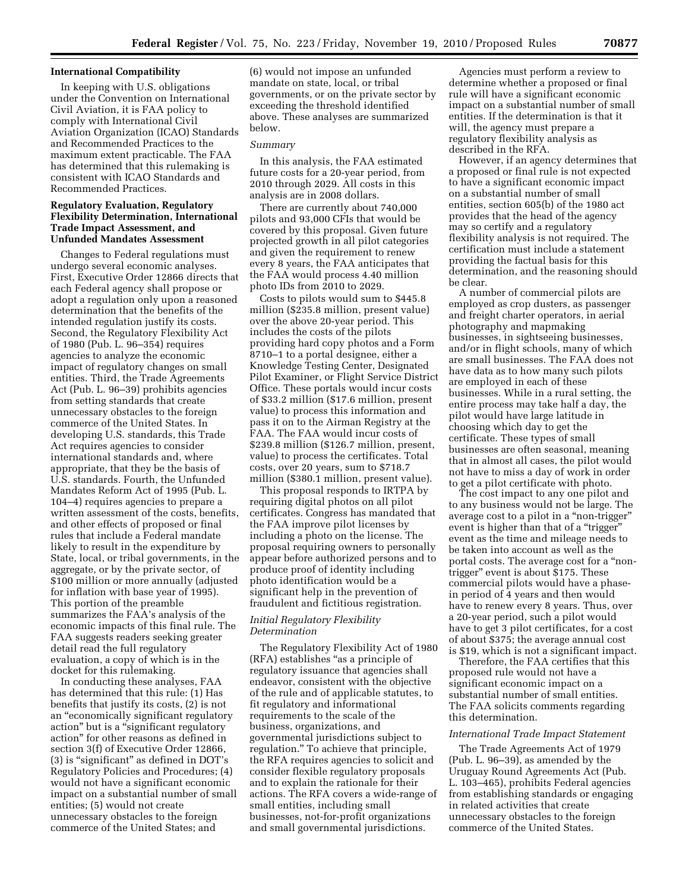### **International Compatibility**

In keeping with U.S. obligations under the Convention on International Civil Aviation, it is FAA policy to comply with International Civil Aviation Organization (ICAO) Standards and Recommended Practices to the maximum extent practicable. The FAA has determined that this rulemaking is consistent with ICAO Standards and Recommended Practices.

# **Regulatory Evaluation, Regulatory Flexibility Determination, International Trade Impact Assessment, and Unfunded Mandates Assessment**

Changes to Federal regulations must undergo several economic analyses. First, Executive Order 12866 directs that each Federal agency shall propose or adopt a regulation only upon a reasoned determination that the benefits of the intended regulation justify its costs. Second, the Regulatory Flexibility Act of 1980 (Pub. L. 96–354) requires agencies to analyze the economic impact of regulatory changes on small entities. Third, the Trade Agreements Act (Pub. L. 96–39) prohibits agencies from setting standards that create unnecessary obstacles to the foreign commerce of the United States. In developing U.S. standards, this Trade Act requires agencies to consider international standards and, where appropriate, that they be the basis of U.S. standards. Fourth, the Unfunded Mandates Reform Act of 1995 (Pub. L. 104–4) requires agencies to prepare a written assessment of the costs, benefits, and other effects of proposed or final rules that include a Federal mandate likely to result in the expenditure by State, local, or tribal governments, in the aggregate, or by the private sector, of \$100 million or more annually (adjusted for inflation with base year of 1995). This portion of the preamble summarizes the FAA's analysis of the economic impacts of this final rule. The FAA suggests readers seeking greater detail read the full regulatory evaluation, a copy of which is in the docket for this rulemaking.

In conducting these analyses, FAA has determined that this rule: (1) Has benefits that justify its costs, (2) is not an ''economically significant regulatory action'' but is a ''significant regulatory action'' for other reasons as defined in section 3(f) of Executive Order 12866, (3) is ''significant'' as defined in DOT's Regulatory Policies and Procedures; (4) would not have a significant economic impact on a substantial number of small entities; (5) would not create unnecessary obstacles to the foreign commerce of the United States; and

(6) would not impose an unfunded mandate on state, local, or tribal governments, or on the private sector by exceeding the threshold identified above. These analyses are summarized below.

#### *Summary*

In this analysis, the FAA estimated future costs for a 20-year period, from 2010 through 2029. All costs in this analysis are in 2008 dollars.

There are currently about 740,000 pilots and 93,000 CFIs that would be covered by this proposal. Given future projected growth in all pilot categories and given the requirement to renew every 8 years, the FAA anticipates that the FAA would process 4.40 million photo IDs from 2010 to 2029.

Costs to pilots would sum to \$445.8 million (\$235.8 million, present value) over the above 20-year period. This includes the costs of the pilots providing hard copy photos and a Form 8710–1 to a portal designee, either a Knowledge Testing Center, Designated Pilot Examiner, or Flight Service District Office. These portals would incur costs of \$33.2 million (\$17.6 million, present value) to process this information and pass it on to the Airman Registry at the FAA. The FAA would incur costs of \$239.8 million (\$126.7 million, present, value) to process the certificates. Total costs, over 20 years, sum to \$718.7 million (\$380.1 million, present value).

This proposal responds to IRTPA by requiring digital photos on all pilot certificates. Congress has mandated that the FAA improve pilot licenses by including a photo on the license. The proposal requiring owners to personally appear before authorized persons and to produce proof of identity including photo identification would be a significant help in the prevention of fraudulent and fictitious registration.

# *Initial Regulatory Flexibility Determination*

The Regulatory Flexibility Act of 1980 (RFA) establishes ''as a principle of regulatory issuance that agencies shall endeavor, consistent with the objective of the rule and of applicable statutes, to fit regulatory and informational requirements to the scale of the business, organizations, and governmental jurisdictions subject to regulation.'' To achieve that principle, the RFA requires agencies to solicit and consider flexible regulatory proposals and to explain the rationale for their actions. The RFA covers a wide-range of small entities, including small businesses, not-for-profit organizations and small governmental jurisdictions.

Agencies must perform a review to determine whether a proposed or final rule will have a significant economic impact on a substantial number of small entities. If the determination is that it will, the agency must prepare a regulatory flexibility analysis as described in the RFA.

However, if an agency determines that a proposed or final rule is not expected to have a significant economic impact on a substantial number of small entities, section 605(b) of the 1980 act provides that the head of the agency may so certify and a regulatory flexibility analysis is not required. The certification must include a statement providing the factual basis for this determination, and the reasoning should be clear.

A number of commercial pilots are employed as crop dusters, as passenger and freight charter operators, in aerial photography and mapmaking businesses, in sightseeing businesses, and/or in flight schools, many of which are small businesses. The FAA does not have data as to how many such pilots are employed in each of these businesses. While in a rural setting, the entire process may take half a day, the pilot would have large latitude in choosing which day to get the certificate. These types of small businesses are often seasonal, meaning that in almost all cases, the pilot would not have to miss a day of work in order to get a pilot certificate with photo.

The cost impact to any one pilot and to any business would not be large. The average cost to a pilot in a ''non-trigger'' event is higher than that of a "trigger" event as the time and mileage needs to be taken into account as well as the portal costs. The average cost for a ''nontrigger'' event is about \$175. These commercial pilots would have a phasein period of 4 years and then would have to renew every 8 years. Thus, over a 20-year period, such a pilot would have to get 3 pilot certificates, for a cost of about \$375; the average annual cost is \$19, which is not a significant impact.

Therefore, the FAA certifies that this proposed rule would not have a significant economic impact on a substantial number of small entities. The FAA solicits comments regarding this determination.

### *International Trade Impact Statement*

The Trade Agreements Act of 1979 (Pub. L. 96–39), as amended by the Uruguay Round Agreements Act (Pub. L. 103–465), prohibits Federal agencies from establishing standards or engaging in related activities that create unnecessary obstacles to the foreign commerce of the United States.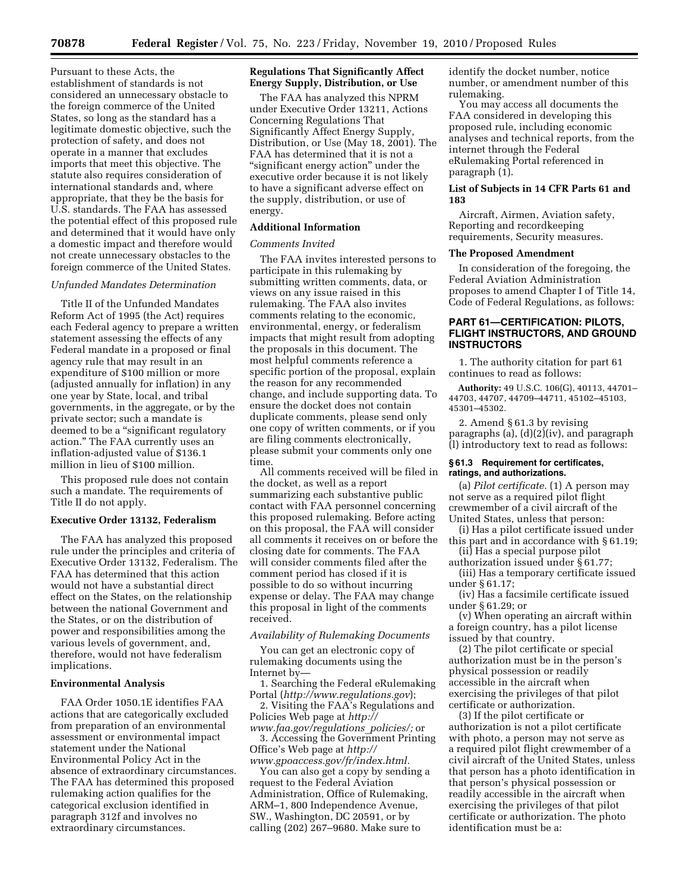Pursuant to these Acts, the establishment of standards is not considered an unnecessary obstacle to the foreign commerce of the United States, so long as the standard has a legitimate domestic objective, such the protection of safety, and does not operate in a manner that excludes imports that meet this objective. The statute also requires consideration of international standards and, where appropriate, that they be the basis for U.S. standards. The FAA has assessed the potential effect of this proposed rule and determined that it would have only a domestic impact and therefore would not create unnecessary obstacles to the foreign commerce of the United States.

### *Unfunded Mandates Determination*

Title II of the Unfunded Mandates Reform Act of 1995 (the Act) requires each Federal agency to prepare a written statement assessing the effects of any Federal mandate in a proposed or final agency rule that may result in an expenditure of \$100 million or more (adjusted annually for inflation) in any one year by State, local, and tribal governments, in the aggregate, or by the private sector; such a mandate is deemed to be a ''significant regulatory action.'' The FAA currently uses an inflation-adjusted value of \$136.1 million in lieu of \$100 million.

This proposed rule does not contain such a mandate. The requirements of Title II do not apply.

# **Executive Order 13132, Federalism**

The FAA has analyzed this proposed rule under the principles and criteria of Executive Order 13132, Federalism. The FAA has determined that this action would not have a substantial direct effect on the States, on the relationship between the national Government and the States, or on the distribution of power and responsibilities among the various levels of government, and, therefore, would not have federalism implications.

### **Environmental Analysis**

FAA Order 1050.1E identifies FAA actions that are categorically excluded from preparation of an environmental assessment or environmental impact statement under the National Environmental Policy Act in the absence of extraordinary circumstances. The FAA has determined this proposed rulemaking action qualifies for the categorical exclusion identified in paragraph 312f and involves no extraordinary circumstances.

### **Regulations That Significantly Affect Energy Supply, Distribution, or Use**

The FAA has analyzed this NPRM under Executive Order 13211, Actions Concerning Regulations That Significantly Affect Energy Supply, Distribution, or Use (May 18, 2001). The FAA has determined that it is not a "significant energy action" under the executive order because it is not likely to have a significant adverse effect on the supply, distribution, or use of energy.

#### **Additional Information**

#### *Comments Invited*

The FAA invites interested persons to participate in this rulemaking by submitting written comments, data, or views on any issue raised in this rulemaking. The FAA also invites comments relating to the economic, environmental, energy, or federalism impacts that might result from adopting the proposals in this document. The most helpful comments reference a specific portion of the proposal, explain the reason for any recommended change, and include supporting data. To ensure the docket does not contain duplicate comments, please send only one copy of written comments, or if you are filing comments electronically, please submit your comments only one time.

All comments received will be filed in the docket, as well as a report summarizing each substantive public contact with FAA personnel concerning this proposed rulemaking. Before acting on this proposal, the FAA will consider all comments it receives on or before the closing date for comments. The FAA will consider comments filed after the comment period has closed if it is possible to do so without incurring expense or delay. The FAA may change this proposal in light of the comments received.

# *Availability of Rulemaking Documents*

You can get an electronic copy of rulemaking documents using the Internet by—

1. Searching the Federal eRulemaking Portal (*<http://www.regulations.gov>*);

2. Visiting the FAA's Regulations and Policies Web page at *[http://](http://www.faa.gov/regulations_policies/)* 

*[www.faa.gov/regulations](http://www.faa.gov/regulations_policies/)*\_*policies/;* or 3. Accessing the Government Printing Office's Web page at *[http://](http://www.gpoaccess.gov/fr/index.html)  [www.gpoaccess.gov/fr/index.html.](http://www.gpoaccess.gov/fr/index.html)* 

You can also get a copy by sending a request to the Federal Aviation Administration, Office of Rulemaking, ARM–1, 800 Independence Avenue, SW., Washington, DC 20591, or by calling (202) 267–9680. Make sure to

identify the docket number, notice number, or amendment number of this rulemaking.

You may access all documents the FAA considered in developing this proposed rule, including economic analyses and technical reports, from the internet through the Federal eRulemaking Portal referenced in paragraph (1).

# **List of Subjects in 14 CFR Parts 61 and 183**

Aircraft, Airmen, Aviation safety, Reporting and recordkeeping requirements, Security measures.

# **The Proposed Amendment**

In consideration of the foregoing, the Federal Aviation Administration proposes to amend Chapter I of Title 14, Code of Federal Regulations, as follows:

# **PART 61—CERTIFICATION: PILOTS, FLIGHT INSTRUCTORS, AND GROUND INSTRUCTORS**

1. The authority citation for part 61 continues to read as follows:

**Authority:** 49 U.S.C. 106(G), 40113, 44701– 44703, 44707, 44709–44711, 45102–45103, 45301–45302.

2. Amend § 61.3 by revising paragraphs (a), (d)(2)(iv), and paragraph (l) introductory text to read as follows:

### **§ 61.3 Requirement for certificates, ratings, and authorizations.**

(a) *Pilot certificate.* (1) A person may not serve as a required pilot flight crewmember of a civil aircraft of the United States, unless that person:

(i) Has a pilot certificate issued under this part and in accordance with § 61.19;

(ii) Has a special purpose pilot authorization issued under § 61.77; (iii) Has a temporary certificate issued

under § 61.17; (iv) Has a facsimile certificate issued

under § 61.29; or

(v) When operating an aircraft within a foreign country, has a pilot license issued by that country.

(2) The pilot certificate or special authorization must be in the person's physical possession or readily accessible in the aircraft when exercising the privileges of that pilot certificate or authorization.

(3) If the pilot certificate or authorization is not a pilot certificate with photo, a person may not serve as a required pilot flight crewmember of a civil aircraft of the United States, unless that person has a photo identification in that person's physical possession or readily accessible in the aircraft when exercising the privileges of that pilot certificate or authorization. The photo identification must be a: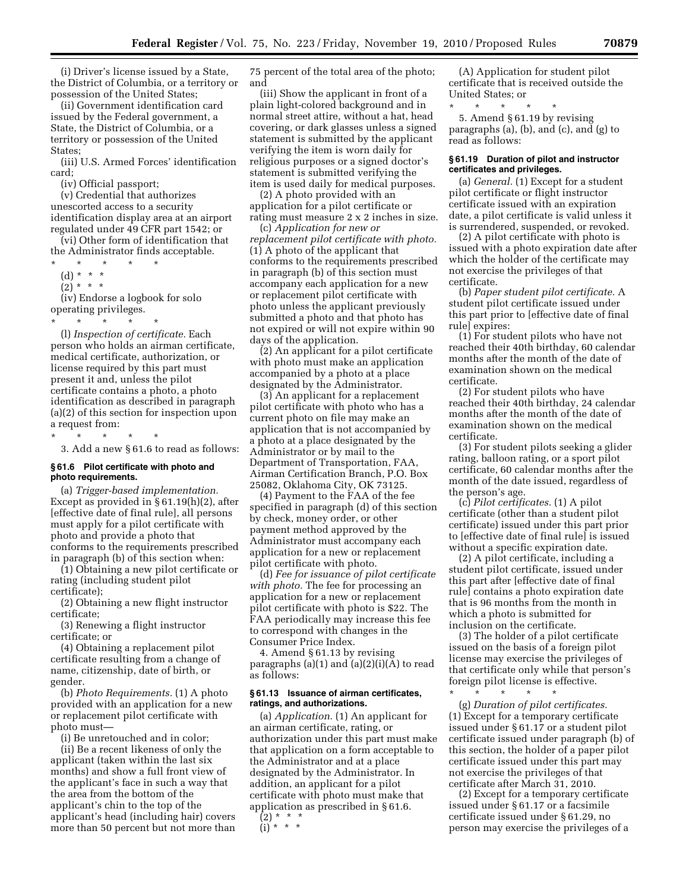(i) Driver's license issued by a State, the District of Columbia, or a territory or possession of the United States;

(ii) Government identification card issued by the Federal government, a State, the District of Columbia, or a territory or possession of the United States;

(iii) U.S. Armed Forces' identification card;

(iv) Official passport;

(v) Credential that authorizes unescorted access to a security identification display area at an airport regulated under 49 CFR part 1542; or

(vi) Other form of identification that the Administrator finds acceptable.

\* \* \* \* \*

(d) \* \* \*

 $(2) * * * *$ 

(iv) Endorse a logbook for solo operating privileges.

\* \* \* \* \*

(l) *Inspection of certificate.* Each person who holds an airman certificate, medical certificate, authorization, or license required by this part must present it and, unless the pilot certificate contains a photo, a photo identification as described in paragraph (a)(2) of this section for inspection upon a request from:

\* \* \* \* \*

3. Add a new § 61.6 to read as follows:

# **§ 61.6 Pilot certificate with photo and photo requirements.**

(a) *Trigger-based implementation.*  Except as provided in § 61.19(h)(2), after [effective date of final rule], all persons must apply for a pilot certificate with photo and provide a photo that conforms to the requirements prescribed in paragraph (b) of this section when:

(1) Obtaining a new pilot certificate or rating (including student pilot certificate);

(2) Obtaining a new flight instructor certificate;

(3) Renewing a flight instructor certificate; or

(4) Obtaining a replacement pilot certificate resulting from a change of name, citizenship, date of birth, or gender.

(b) *Photo Requirements.* (1) A photo provided with an application for a new or replacement pilot certificate with photo must—

(i) Be unretouched and in color;

(ii) Be a recent likeness of only the applicant (taken within the last six months) and show a full front view of the applicant's face in such a way that the area from the bottom of the applicant's chin to the top of the applicant's head (including hair) covers more than 50 percent but not more than

75 percent of the total area of the photo; and

(iii) Show the applicant in front of a plain light-colored background and in normal street attire, without a hat, head covering, or dark glasses unless a signed statement is submitted by the applicant verifying the item is worn daily for religious purposes or a signed doctor's statement is submitted verifying the item is used daily for medical purposes.

(2) A photo provided with an application for a pilot certificate or rating must measure 2 x 2 inches in size. (c) *Application for new or* 

*replacement pilot certificate with photo.*  (1) A photo of the applicant that conforms to the requirements prescribed in paragraph (b) of this section must accompany each application for a new or replacement pilot certificate with photo unless the applicant previously submitted a photo and that photo has not expired or will not expire within 90 days of the application.

(2) An applicant for a pilot certificate with photo must make an application accompanied by a photo at a place designated by the Administrator.

(3) An applicant for a replacement pilot certificate with photo who has a current photo on file may make an application that is not accompanied by a photo at a place designated by the Administrator or by mail to the Department of Transportation, FAA, Airman Certification Branch, P.O. Box 25082, Oklahoma City, OK 73125.

(4) Payment to the FAA of the fee specified in paragraph (d) of this section by check, money order, or other payment method approved by the Administrator must accompany each application for a new or replacement pilot certificate with photo.

(d) *Fee for issuance of pilot certificate with photo.* The fee for processing an application for a new or replacement pilot certificate with photo is \$22. The FAA periodically may increase this fee to correspond with changes in the Consumer Price Index.

4. Amend § 61.13 by revising paragraphs (a)(1) and (a)(2)(i)(A) to read as follows:

### **§ 61.13 Issuance of airman certificates, ratings, and authorizations.**

(a) *Application.* (1) An applicant for an airman certificate, rating, or authorization under this part must make that application on a form acceptable to the Administrator and at a place designated by the Administrator. In addition, an applicant for a pilot certificate with photo must make that application as prescribed in § 61.6.

 $(2) * * * *$ 

 $(ii** * *$ 

(A) Application for student pilot certificate that is received outside the United States; or

\* \* \* \* \* 5. Amend § 61.19 by revising paragraphs (a), (b), and (c), and (g) to read as follows:

### **§ 61.19 Duration of pilot and instructor certificates and privileges.**

(a) *General.* (1) Except for a student pilot certificate or flight instructor certificate issued with an expiration date, a pilot certificate is valid unless it is surrendered, suspended, or revoked.

(2) A pilot certificate with photo is issued with a photo expiration date after which the holder of the certificate may not exercise the privileges of that certificate.

(b) *Paper student pilot certificate.* A student pilot certificate issued under this part prior to [effective date of final rule] expires:

(1) For student pilots who have not reached their 40th birthday, 60 calendar months after the month of the date of examination shown on the medical certificate.

(2) For student pilots who have reached their 40th birthday, 24 calendar months after the month of the date of examination shown on the medical certificate.

(3) For student pilots seeking a glider rating, balloon rating, or a sport pilot certificate, 60 calendar months after the month of the date issued, regardless of the person's age.

(c) *Pilot certificates.* (1) A pilot certificate (other than a student pilot certificate) issued under this part prior to [effective date of final rule] is issued without a specific expiration date.

(2) A pilot certificate, including a student pilot certificate, issued under this part after [effective date of final rule] contains a photo expiration date that is 96 months from the month in which a photo is submitted for inclusion on the certificate.

(3) The holder of a pilot certificate issued on the basis of a foreign pilot license may exercise the privileges of that certificate only while that person's foreign pilot license is effective.

\* \* \* \* \*

(g) *Duration of pilot certificates.*  (1) Except for a temporary certificate issued under § 61.17 or a student pilot certificate issued under paragraph (b) of this section, the holder of a paper pilot certificate issued under this part may not exercise the privileges of that certificate after March 31, 2010.

(2) Except for a temporary certificate issued under § 61.17 or a facsimile certificate issued under § 61.29, no person may exercise the privileges of a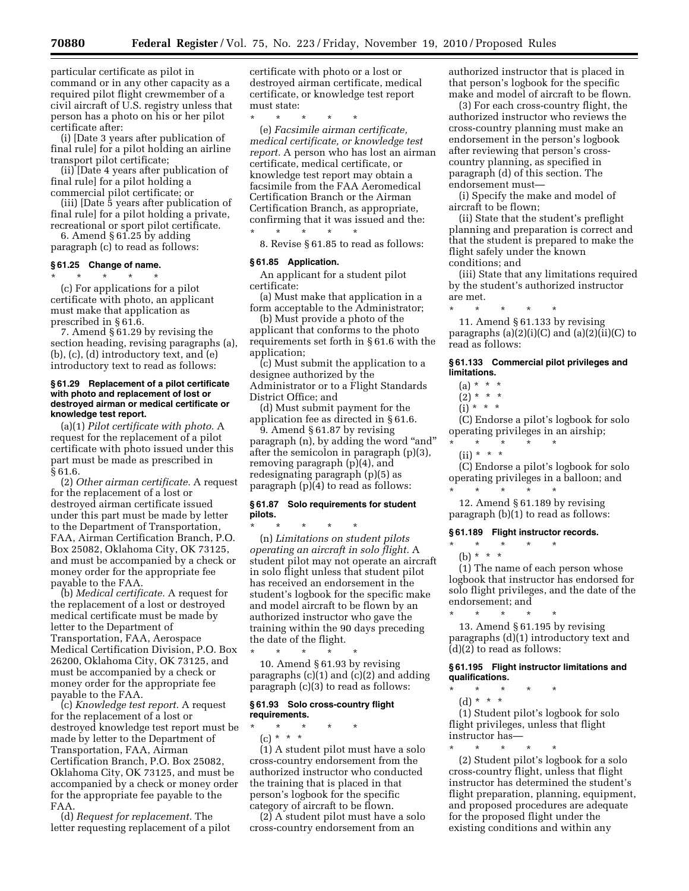particular certificate as pilot in command or in any other capacity as a required pilot flight crewmember of a civil aircraft of U.S. registry unless that person has a photo on his or her pilot certificate after:

(i) [Date 3 years after publication of final rule] for a pilot holding an airline transport pilot certificate;

(ii) [Date 4 years after publication of final rule] for a pilot holding a commercial pilot certificate; or

(iii) [Date 5 years after publication of final rule] for a pilot holding a private, recreational or sport pilot certificate.

6. Amend § 61.25 by adding paragraph (c) to read as follows:

# **§ 61.25 Change of name.**

\* \* \* \* \* (c) For applications for a pilot certificate with photo, an applicant must make that application as prescribed in § 61.6.

7. Amend § 61.29 by revising the section heading, revising paragraphs (a), (b), (c), (d) introductory text, and (e) introductory text to read as follows:

### **§ 61.29 Replacement of a pilot certificate with photo and replacement of lost or destroyed airman or medical certificate or knowledge test report.**

(a)(1) *Pilot certificate with photo.* A request for the replacement of a pilot certificate with photo issued under this part must be made as prescribed in § 61.6.

(2) *Other airman certificate.* A request for the replacement of a lost or destroyed airman certificate issued under this part must be made by letter to the Department of Transportation, FAA, Airman Certification Branch, P.O. Box 25082, Oklahoma City, OK 73125, and must be accompanied by a check or money order for the appropriate fee payable to the FAA.

(b) *Medical certificate.* A request for the replacement of a lost or destroyed medical certificate must be made by letter to the Department of Transportation, FAA, Aerospace Medical Certification Division, P.O. Box 26200, Oklahoma City, OK 73125, and must be accompanied by a check or money order for the appropriate fee payable to the FAA.

(c) *Knowledge test report.* A request for the replacement of a lost or destroyed knowledge test report must be made by letter to the Department of Transportation, FAA, Airman Certification Branch, P.O. Box 25082, Oklahoma City, OK 73125, and must be accompanied by a check or money order for the appropriate fee payable to the FAA.

(d) *Request for replacement.* The letter requesting replacement of a pilot

certificate with photo or a lost or destroyed airman certificate, medical certificate, or knowledge test report must state:

\* \* \* \* \*

(e) *Facsimile airman certificate, medical certificate, or knowledge test report.* A person who has lost an airman certificate, medical certificate, or knowledge test report may obtain a facsimile from the FAA Aeromedical Certification Branch or the Airman Certification Branch, as appropriate, confirming that it was issued and the: \* \* \* \* \*

8. Revise § 61.85 to read as follows:

#### **§ 61.85 Application.**

An applicant for a student pilot certificate:

(a) Must make that application in a form acceptable to the Administrator;

(b) Must provide a photo of the applicant that conforms to the photo requirements set forth in § 61.6 with the application;

(c) Must submit the application to a designee authorized by the Administrator or to a Flight Standards District Office; and

(d) Must submit payment for the application fee as directed in § 61.6.

9. Amend § 61.87 by revising paragraph (n), by adding the word "and" after the semicolon in paragraph (p)(3), removing paragraph (p)(4), and redesignating paragraph (p)(5) as paragraph (p)(4) to read as follows:

#### **§ 61.87 Solo requirements for student pilots.**

\* \* \* \* \* (n) *Limitations on student pilots operating an aircraft in solo flight.* A student pilot may not operate an aircraft in solo flight unless that student pilot has received an endorsement in the student's logbook for the specific make and model aircraft to be flown by an authorized instructor who gave the training within the 90 days preceding the date of the flight.

\* \* \* \* \* 10. Amend § 61.93 by revising paragraphs (c)(1) and (c)(2) and adding paragraph (c)(3) to read as follows:

# **§ 61.93 Solo cross-country flight requirements.**

\* \* \* \* \* (c) \* \* \*

(1) A student pilot must have a solo cross-country endorsement from the authorized instructor who conducted the training that is placed in that person's logbook for the specific category of aircraft to be flown.

(2) A student pilot must have a solo cross-country endorsement from an

authorized instructor that is placed in that person's logbook for the specific make and model of aircraft to be flown.

(3) For each cross-country flight, the authorized instructor who reviews the cross-country planning must make an endorsement in the person's logbook after reviewing that person's crosscountry planning, as specified in paragraph (d) of this section. The endorsement must—

(i) Specify the make and model of aircraft to be flown;

(ii) State that the student's preflight planning and preparation is correct and that the student is prepared to make the flight safely under the known conditions; and

(iii) State that any limitations required by the student's authorized instructor are met.

\* \* \* \* \* 11. Amend § 61.133 by revising paragraphs  $(a)(2)(i)(C)$  and  $(a)(2)(ii)(C)$  to read as follows:

### **§ 61.133 Commercial pilot privileges and limitations.**

 $(a) * * * *$ 

- $(2) * * * *$
- $(i) * * * *$

(C) Endorse a pilot's logbook for solo operating privileges in an airship; \* \* \* \* \*

 $(ii) * * * *$ 

(C) Endorse a pilot's logbook for solo operating privileges in a balloon; and \* \* \* \* \*

12. Amend § 61.189 by revising paragraph (b)(1) to read as follows:

# **§ 61.189 Flight instructor records.**

\* \* \* \* \*

\* \* \* \* \*

(b) \* \* \*

(1) The name of each person whose logbook that instructor has endorsed for solo flight privileges, and the date of the endorsement; and

13. Amend § 61.195 by revising paragraphs (d)(1) introductory text and (d)(2) to read as follows:

**§ 61.195 Flight instructor limitations and qualifications.** 

- \* \* \* \* \*
	- (d) \* \* \*

(1) Student pilot's logbook for solo flight privileges, unless that flight instructor has—

\* \* \* \* \* (2) Student pilot's logbook for a solo cross-country flight, unless that flight instructor has determined the student's flight preparation, planning, equipment, and proposed procedures are adequate for the proposed flight under the existing conditions and within any